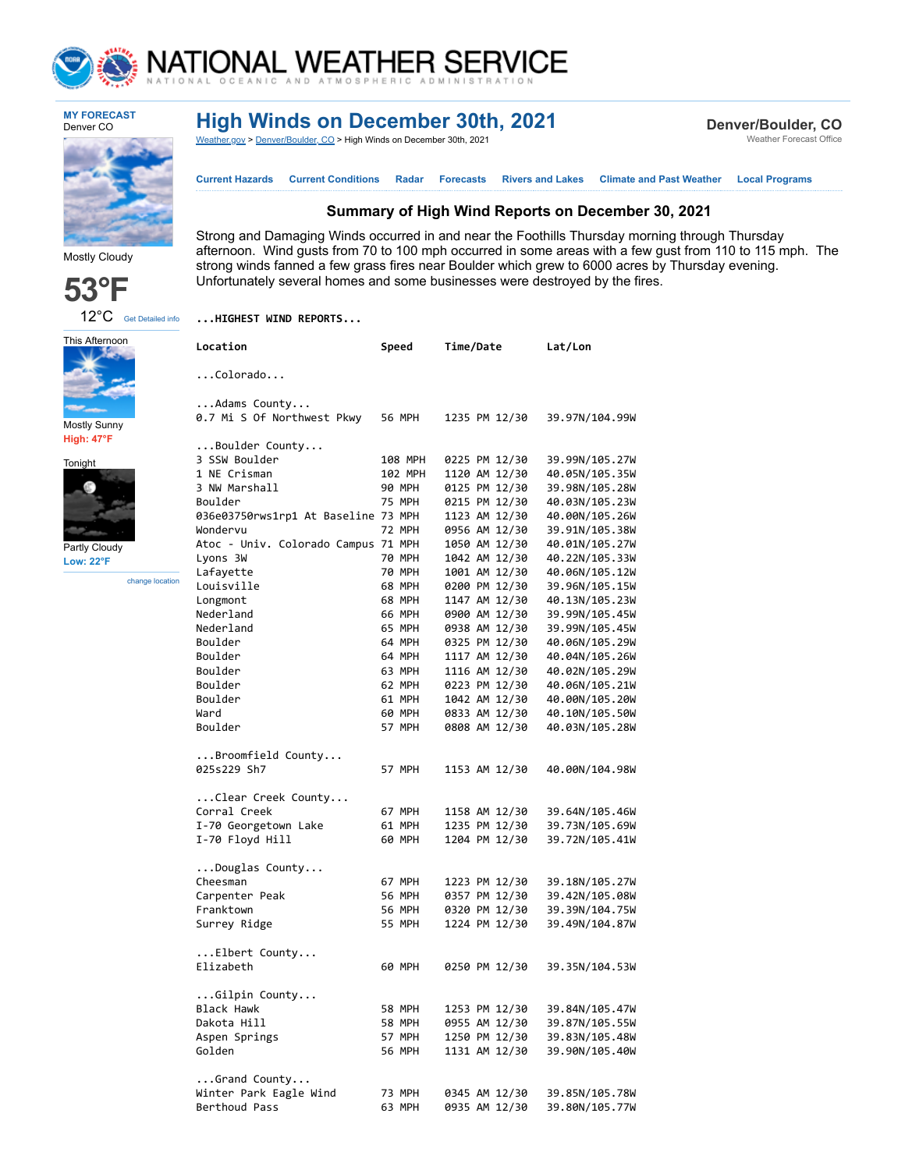

## NATIONAL WEATHER SERVICE

**MY FORECAST** Denver CO

## **High Winds on December 30th, 2021**

**Summary of High Wind Reports on December 30, 2021**

**[Current Hazards](https://forecast.weather.gov/product.php?site=NWS&issuedby=BOU&product=HWO) [Current Conditions](https://www.weather.gov/) [Radar](https://radar.weather.gov/) Forecasts [Rivers and Lakes](https://water.weather.gov/ahps2/index.php?wfo=BOU) [Climate and Past Weather](https://www.weather.gov/wrh/climate?wfo=bou) [Local Programs](https://www.weather.gov/bou/)**

afternoon. Wind gusts from 70 to 100 mph occurred in some areas with a few gust from 110 to 115 mph. The

Strong and Damaging Winds occurred in and near the Foothills Thursday morning through Thursday

strong winds fanned a few grass fires near Boulder which grew to 6000 acres by Thursday evening.

Unfortunately several homes and some businesses were destroyed by the fires.

[Weather.gov](https://www.weather.gov/) > [Denver/Boulder,](https://www.weather.gov/bou) CO > High Winds on December 30th, 2021

**Denver/Boulder, CO** Weather Forecast Office



Mostly Cloudy

This Afternoon

Mostly Sunny **High: 47°F** Tonight

Partly Cloudy **Low: 22°F**

change location



**...HIGHEST WIND REPORTS...**

| Location                            | Speed                    | Time/Date                      | Lat/Lon                          |
|-------------------------------------|--------------------------|--------------------------------|----------------------------------|
| $\ldots$ Colorado                   |                          |                                |                                  |
|                                     |                          |                                |                                  |
| Adams County                        |                          |                                |                                  |
| 0.7 Mi S Of Northwest Pkwy          | 56 MPH                   | 1235 PM 12/30                  | 39.97N/104.99W                   |
|                                     |                          |                                |                                  |
| Boulder County                      |                          |                                |                                  |
| 3 SSW Boulder<br>1 NE Crisman       | 108 MPH                  | 0225 PM 12/30                  | 39.99N/105.27W                   |
|                                     | 102 MPH<br><b>90 MPH</b> | 1120 AM 12/30                  | 40.05N/105.35W                   |
| 3 NW Marshall<br>Boulder            | <b>75 MPH</b>            | 0125 PM 12/30                  | 39.98N/105.28W<br>40.03N/105.23W |
| 036e03750rws1rp1 At Baseline 73 MPH |                          | 0215 PM 12/30<br>1123 AM 12/30 | 40.00N/105.26W                   |
| Wondervu                            | <b>72 MPH</b>            | 0956 AM 12/30                  | 39.91N/105.38W                   |
| Atoc - Univ. Colorado Campus 71 MPH |                          | 1050 AM 12/30                  | 40.01N/105.27W                   |
| Lyons 3W                            | <b>70 MPH</b>            | 1042 AM 12/30                  | 40.22N/105.33W                   |
| Lafayette                           | <b>70 MPH</b>            | 1001 AM 12/30                  | 40.06N/105.12W                   |
| Louisville                          | 68 MPH                   | 0200 PM 12/30                  | 39.96N/105.15W                   |
| Longmont                            | 68 MPH                   | 1147 AM 12/30                  | 40.13N/105.23W                   |
| Nederland                           | 66 MPH                   | 0900 AM 12/30                  | 39.99N/105.45W                   |
| Nederland                           | 65 MPH                   | 0938 AM 12/30                  | 39.99N/105.45W                   |
| Boulder                             | 64 MPH                   | 0325 PM 12/30                  | 40.06N/105.29W                   |
| Boulder                             | 64 MPH                   | 1117 AM 12/30                  | 40.04N/105.26W                   |
| Boulder                             | 63 MPH                   | 1116 AM 12/30                  | 40.02N/105.29W                   |
| Boulder                             | 62 MPH                   | 0223 PM 12/30                  | 40.06N/105.21W                   |
| Boulder                             | 61 MPH                   | 1042 AM 12/30                  | 40.00N/105.20W                   |
| Ward                                | 60 MPH                   | 0833 AM 12/30                  | 40.10N/105.50W                   |
| Boulder                             | 57 MPH                   | 0808 AM 12/30                  | 40.03N/105.28W                   |
| $\ldots$ Broomfield County          |                          |                                |                                  |
| 025s229 Sh7                         | 57 MPH                   | 1153 AM 12/30                  | 40.00N/104.98W                   |
|                                     |                          |                                |                                  |
| Clear Creek County                  |                          |                                |                                  |
| Corral Creek                        | 67 MPH                   | 1158 AM 12/30                  | 39.64N/105.46W                   |
| I-70 Georgetown Lake                | 61 MPH                   | 1235 PM 12/30                  | 39.73N/105.69W                   |
| I-70 Floyd Hill                     | 60 MPH                   | 1204 PM 12/30                  | 39.72N/105.41W                   |
|                                     |                          |                                |                                  |
| $\ldots$ Douglas County<br>Cheesman | 67 MPH                   | 1223 PM 12/30                  | 39.18N/105.27W                   |
| Carpenter Peak                      | <b>56 MPH</b>            | 0357 PM 12/30                  | 39.42N/105.08W                   |
| Franktown                           | <b>56 MPH</b>            | 0320 PM 12/30                  | 39.39N/104.75W                   |
| Surrey Ridge                        | <b>55 MPH</b>            | 1224 PM 12/30                  | 39.49N/104.87W                   |
|                                     |                          |                                |                                  |
| $\ldots$ Elbert County              |                          |                                |                                  |
| Elizabeth                           | 60 MPH                   | 0250 PM 12/30                  | 39.35N/104.53W                   |
|                                     |                          |                                |                                  |
| Gilpin County                       |                          |                                |                                  |
| <b>Black Hawk</b>                   | 58 MPH                   | 1253 PM 12/30                  | 39.84N/105.47W                   |
| Dakota Hill                         | 58 MPH                   | 0955 AM 12/30                  | 39.87N/105.55W                   |
| Aspen Springs                       | 57 MPH                   | 1250 PM 12/30                  | 39.83N/105.48W                   |
| Golden                              | 56 MPH                   | 1131 AM 12/30                  | 39.90N/105.40W                   |
| $\ldots$ Grand County               |                          |                                |                                  |
| Winter Park Eagle Wind              | 73 MPH                   | 0345 AM 12/30                  | 39.85N/105.78W                   |
| Berthoud Pass                       | 63 MPH                   | 0935 AM 12/30                  | 39.80N/105.77W                   |